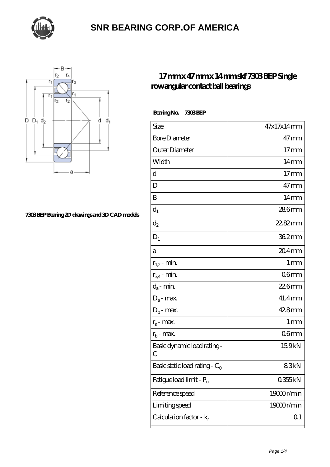



#### **[7303 BEP Bearing 2D drawings and 3D CAD models](https://thebestofquebec.com/pic-64978677.html)**

#### **[17 mm x 47 mm x 14 mm skf 7303 BEP Single](https://thebestofquebec.com/az-64978677-skf-7303-bep-single-row-angular-contact-ball-bearings.html) [row angular contact ball bearings](https://thebestofquebec.com/az-64978677-skf-7303-bep-single-row-angular-contact-ball-bearings.html)**

| Size                                         | 47x17x14mm        |
|----------------------------------------------|-------------------|
| <b>Bore Diameter</b>                         | $47 \text{mm}$    |
| Outer Diameter                               | $17 \text{mm}$    |
| Width                                        | $14 \text{mm}$    |
| d                                            | $17 \text{mm}$    |
| D                                            | $47$ mm           |
| B                                            | $14 \text{mm}$    |
| $d_1$                                        | 286mm             |
| $\mathrm{d}_2$                               | $2282$ mm         |
| $D_1$                                        | 362mm             |
| a                                            | $204$ mm          |
| $r_{1,2}$ - min.                             | $1 \,\mathrm{mm}$ |
| $r_{34}$ - min.                              | 06mm              |
| $d_a$ - min.                                 | $226$ mm          |
| $D_a$ - max.                                 | $41.4$ mm         |
| $D_b$ - max.                                 | 428mm             |
| $r_a$ - max.                                 | $1 \,\mathrm{mm}$ |
| $r_{\rm b}$ - max.                           | 06 <sub>mm</sub>  |
| Basic dynamic load rating-<br>$\overline{C}$ | 15.9kN            |
| Basic static load rating - $C_0$             | 83kN              |
| Fatigue load limit - Pu                      | 0355kN            |
| Reference speed                              | 19000r/min        |
| Limiting speed                               | 19000r/min        |
| Calculation factor - $k_r$                   | Q <sub>1</sub>    |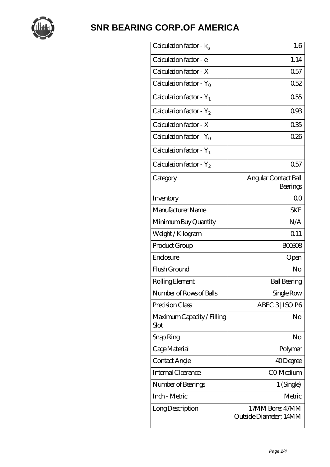

| Calculation factor - ka            | 1.6                                       |
|------------------------------------|-------------------------------------------|
| Calculation factor - e             | 1.14                                      |
| Calculation factor - X             | 0.57                                      |
| Calculation factor - $Y_0$         | 0.52                                      |
| Calculation factor - $Y_1$         | 0.55                                      |
| Calculation factor - $Y_2$         | 093                                       |
| Calculation factor - X             | 035                                       |
| Calculation factor - $Y_0$         | 026                                       |
| Calculation factor - $Y_1$         |                                           |
| Calculation factor - $Y_2$         | 0.57                                      |
| Category                           | Angular Contact Ball<br>Bearings          |
| Inventory                          | 0 <sub>0</sub>                            |
| Manufacturer Name                  | <b>SKF</b>                                |
| Minimum Buy Quantity               | N/A                                       |
| Weight / Kilogram                  | Q <sub>11</sub>                           |
| Product Group                      | <b>BOO308</b>                             |
| Enclosure                          | Open                                      |
| Flush Ground                       | No                                        |
| Rolling Element                    | <b>Ball Bearing</b>                       |
| Number of Rows of Balls            | Single Row                                |
| Precision Class                    | ABEC 3   ISO P6                           |
| Maximum Capacity / Filling<br>Slot | No                                        |
| Snap Ring                          | No                                        |
| Cage Material                      | Polymer                                   |
| Contact Angle                      | 40Degree                                  |
| <b>Internal Clearance</b>          | CO-Medium                                 |
| Number of Bearings                 | 1 (Single)                                |
| Inch - Metric                      | Metric                                    |
| Long Description                   | 17MM Bore; 47MM<br>Outside Diameter; 14MM |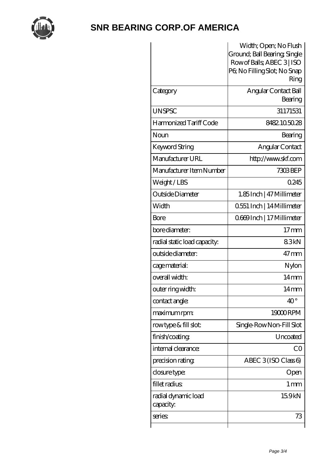

|                              | Width; Open; No Flush                                      |
|------------------------------|------------------------------------------------------------|
|                              | Ground; Ball Bearing, Single<br>Row of Balls, ABEC 3   ISO |
|                              | P6; No Filling Slot; No Snap                               |
|                              | Ring                                                       |
| Category                     | Angular Contact Ball                                       |
|                              | Bearing                                                    |
| <b>UNSPSC</b>                | 31171531                                                   |
| Harmonized Tariff Code       | 8482105028                                                 |
| Noun                         | Bearing                                                    |
| Keyword String               | Angular Contact                                            |
| Manufacturer URL             | http://www.skf.com                                         |
| Manufacturer Item Number     | 7303BEP                                                    |
| Weight/LBS                   | 0245                                                       |
| Outside Diameter             | 1.85Inch   47 Millimeter                                   |
| Width                        | 0.551 Inch   14 Millimeter                                 |
| Bore                         | 0669Inch   17 Millimeter                                   |
| bore diameter:               | $17$ mm                                                    |
| radial static load capacity: | 83kN                                                       |
| outside diameter:            | $47$ mm                                                    |
| cage material:               | Nylon                                                      |
| overall width:               | $14 \text{mm}$                                             |
| outer ring width:            | 14 mm                                                      |
| contact angle:               | $40^{\circ}$                                               |
| maximum rpm:                 | 19000RPM                                                   |
| rowtype & fill slot:         | Single-RowNon-Fill Slot                                    |
| finish/coating               | Uncoated                                                   |
| internal clearance:          | CO                                                         |
| precision rating             | ABEC 3(ISO Class 6)                                        |
| closure type:                | Open                                                       |
| fillet radius                | $1 \,\mathrm{mm}$                                          |
| radial dynamic load          | 15.9kN                                                     |
| capacity:                    |                                                            |
| series:                      | 73                                                         |
|                              |                                                            |